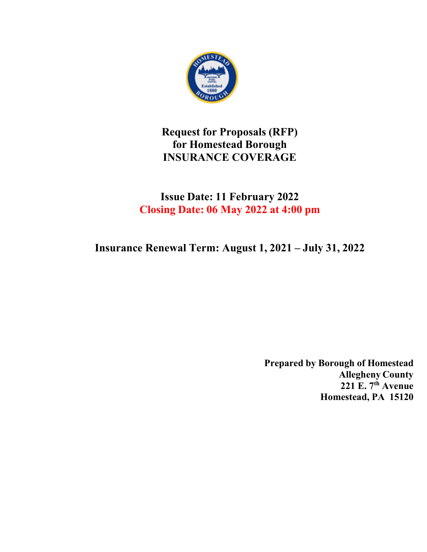

# **Request for Proposals (RFP) for Homestead Borough INSURANCE COVERAGE**

# **Issue Date: 11 February 2022 Closing Date: 06 May 2022 at 4:00 pm**

# **Insurance Renewal Term: August 1, 2021 – July 31, 2022**

**Prepared by Borough of Homestead Allegheny County 221 E. 7th Avenue Homestead, PA 15120**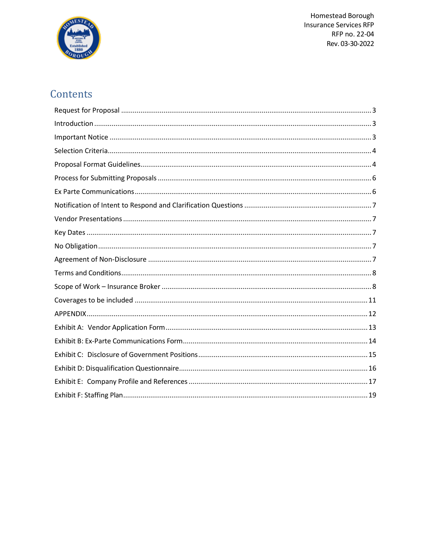

# Contents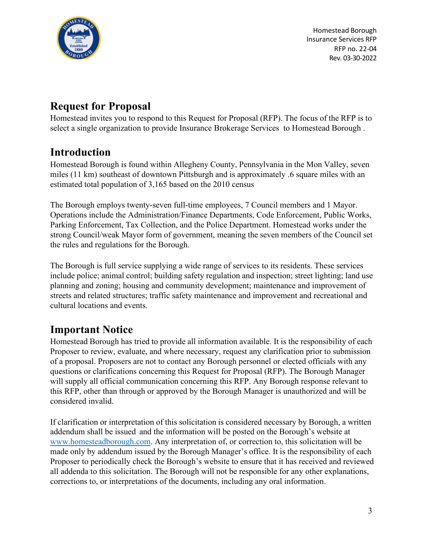

# <span id="page-2-0"></span>**Request for Proposal**

Homestead invites you to respond to this Request for Proposal (RFP). The focus of the RFP is to select a single organization to provide Insurance Brokerage Services to Homestead Borough .

# <span id="page-2-1"></span>**Introduction**

Homestead Borough is found within Allegheny County, Pennsylvania in the Mon Valley, seven miles (11 km) southeast of downtown Pittsburgh and is approximately .6 square miles with an estimated total population of 3,165 based on the 2010 census

The Borough employs twenty-seven full-time employees, 7 Council members and 1 Mayor. Operations include the Administration/Finance Departments, Code Enforcement, Public Works, Parking Enforcement, Tax Collection, and the Police Department. Homestead works under the strong Council/weak Mayor form of government, meaning the seven members of the Council set the rules and regulations for the Borough.

The Borough is full service supplying a wide range of services to its residents. These services include police; animal control; building safety regulation and inspection; street lighting; land use planning and zoning; housing and community development; maintenance and improvement of streets and related structures; traffic safety maintenance and improvement and recreational and cultural locations and events.

# <span id="page-2-2"></span>**Important Notice**

Homestead Borough has tried to provide all information available. It is the responsibility of each Proposer to review, evaluate, and where necessary, request any clarification prior to submission of a proposal. Proposers are not to contact any Borough personnel or elected officials with any questions or clarifications concerning this Request for Proposal (RFP). The Borough Manager will supply all official communication concerning this RFP. Any Borough response relevant to this RFP, other than through or approved by the Borough Manager is unauthorized and will be considered invalid.

If clarification or interpretation of this solicitation is considered necessary by Borough, a written addendum shall be issued and the information will be posted on the Borough's website at [www.homesteadborough.com.](http://www.homesteadborough.com/) Any interpretation of, or correction to, this solicitation will be made only by addendum issued by the Borough Manager's office. It is the responsibility of each Proposer to periodically check the Borough's website to ensure that it has received and reviewed all addenda to this solicitation. The Borough will not be responsible for any other explanations, corrections to, or interpretations of the documents, including any oral information.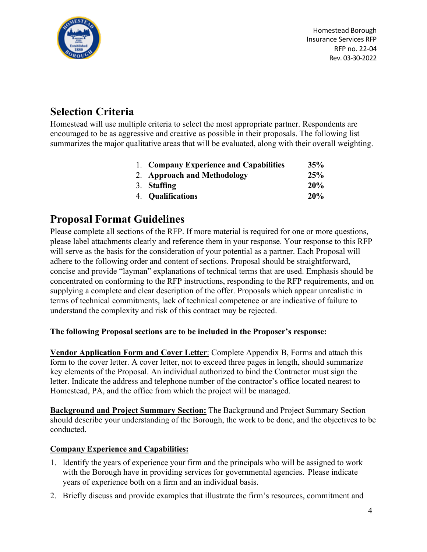

# <span id="page-3-0"></span>**Selection Criteria**

Homestead will use multiple criteria to select the most appropriate partner. Respondents are encouraged to be as aggressive and creative as possible in their proposals. The following list summarizes the major qualitative areas that will be evaluated, along with their overall weighting.

| 1. Company Experience and Capabilities | 35% |
|----------------------------------------|-----|
| 2. Approach and Methodology            | 25% |
| 3. Staffing                            | 20% |
| 4. Qualifications                      | 20% |

### <span id="page-3-1"></span>**Proposal Format Guidelines**

Please complete all sections of the RFP. If more material is required for one or more questions, please label attachments clearly and reference them in your response. Your response to this RFP will serve as the basis for the consideration of your potential as a partner. Each Proposal will adhere to the following order and content of sections. Proposal should be straightforward, concise and provide "layman" explanations of technical terms that are used. Emphasis should be concentrated on conforming to the RFP instructions, responding to the RFP requirements, and on supplying a complete and clear description of the offer. Proposals which appear unrealistic in terms of technical commitments, lack of technical competence or are indicative of failure to understand the complexity and risk of this contract may be rejected.

#### **The following Proposal sections are to be included in the Proposer's response:**

**Vendor Application Form and Cover Letter**: Complete Appendix B, Forms and attach this form to the cover letter. A cover letter, not to exceed three pages in length, should summarize key elements of the Proposal. An individual authorized to bind the Contractor must sign the letter. Indicate the address and telephone number of the contractor's office located nearest to Homestead, PA, and the office from which the project will be managed.

**Background and Project Summary Section:** The Background and Project Summary Section should describe your understanding of the Borough, the work to be done, and the objectives to be conducted.

#### **Company Experience and Capabilities:**

- 1. Identify the years of experience your firm and the principals who will be assigned to work with the Borough have in providing services for governmental agencies. Please indicate years of experience both on a firm and an individual basis.
- 2. Briefly discuss and provide examples that illustrate the firm's resources, commitment and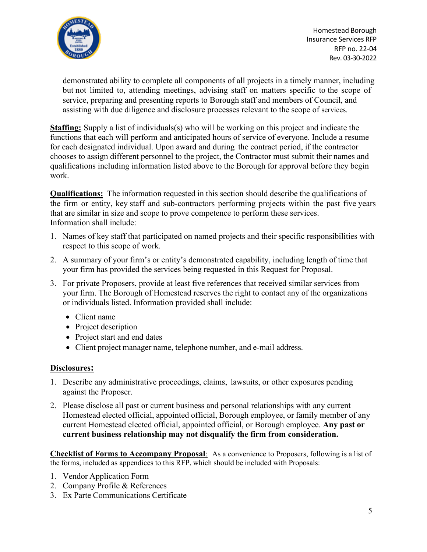

demonstrated ability to complete all components of all projects in a timely manner, including but not limited to, attending meetings, advising staff on matters specific to the scope of service, preparing and presenting reports to Borough staff and members of Council, and assisting with due diligence and disclosure processes relevant to the scope of services.

**Staffing:** Supply a list of individuals(s) who will be working on this project and indicate the functions that each will perform and anticipated hours of service of everyone. Include a resume for each designated individual. Upon award and during the contract period, if the contractor chooses to assign different personnel to the project, the Contractor must submit their names and qualifications including information listed above to the Borough for approval before they begin work.

**Qualifications:** The information requested in this section should describe the qualifications of the firm or entity, key staff and sub-contractors performing projects within the past five years that are similar in size and scope to prove competence to perform these services. Information shall include:

- 1. Names of key staff that participated on named projects and their specific responsibilities with respect to this scope of work.
- 2. A summary of your firm's or entity's demonstrated capability, including length of time that your firm has provided the services being requested in this Request for Proposal.
- 3. For private Proposers, provide at least five references that received similar services from your firm. The Borough of Homestead reserves the right to contact any of the organizations or individuals listed. Information provided shall include:
	- Client name
	- Project description
	- Project start and end dates
	- Client project manager name, telephone number, and e-mail address.

#### **Disclosures:**

- 1. Describe any administrative proceedings, claims, lawsuits, or other exposures pending against the Proposer.
- 2. Please disclose all past or current business and personal relationships with any current Homestead elected official, appointed official, Borough employee, or family member of any current Homestead elected official, appointed official, or Borough employee. **Any past or current business relationship may not disqualify the firm from consideration.**

**Checklist of Forms to Accompany Proposal**: As a convenience to Proposers, following is a list of the forms, included as appendices to this RFP, which should be included with Proposals:

- 1. Vendor Application Form
- 2. Company Profile & References
- 3. Ex Parte Communications Certificate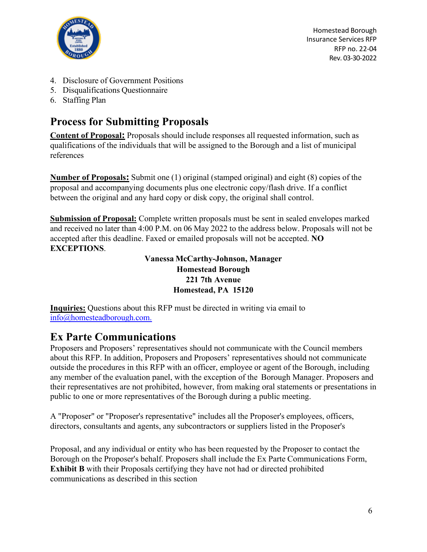

- 4. Disclosure of Government Positions
- 5. Disqualifications Questionnaire
- 6. Staffing Plan

# <span id="page-5-0"></span>**Process for Submitting Proposals**

**Content of Proposal:** Proposals should include responses all requested information, such as qualifications of the individuals that will be assigned to the Borough and a list of municipal references

**Number of Proposals:** Submit one (1) original (stamped original) and eight (8) copies of the proposal and accompanying documents plus one electronic copy/flash drive. If a conflict between the original and any hard copy or disk copy, the original shall control.

**Submission of Proposal:** Complete written proposals must be sent in sealed envelopes marked and received no later than 4:00 P.M. on 06 May 2022 to the address below. Proposals will not be accepted after this deadline. Faxed or emailed proposals will not be accepted. **NO EXCEPTIONS**.

#### **Vanessa McCarthy-Johnson, Manager Homestead Borough 221 7th Avenue Homestead, PA 15120**

**Inquiries:** Questions about this RFP must be directed in writing via email to [info@homesteadborough.com.](mailto:info@homesteadborough.com.)

### <span id="page-5-1"></span>**Ex Parte Communications**

Proposers and Proposers' representatives should not communicate with the Council members about this RFP. In addition, Proposers and Proposers' representatives should not communicate outside the procedures in this RFP with an officer, employee or agent of the Borough, including any member of the evaluation panel, with the exception of the Borough Manager. Proposers and their representatives are not prohibited, however, from making oral statements or presentations in public to one or more representatives of the Borough during a public meeting.

A "Proposer" or "Proposer's representative" includes all the Proposer's employees, officers, directors, consultants and agents, any subcontractors or suppliers listed in the Proposer's

Proposal, and any individual or entity who has been requested by the Proposer to contact the Borough on the Proposer's behalf. Proposers shall include the Ex Parte Communications Form, **Exhibit B** with their Proposals certifying they have not had or directed prohibited communications as described in this section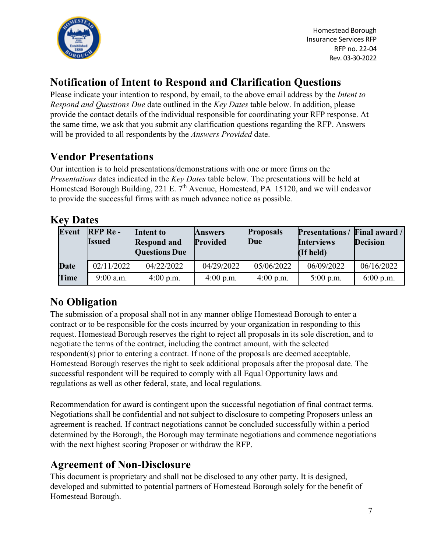

# <span id="page-6-0"></span>**Notification of Intent to Respond and Clarification Questions**

Please indicate your intention to respond, by email, to the above email address by the *Intent to Respond and Questions Due* date outlined in the *Key Dates* table below. In addition, please provide the contact details of the individual responsible for coordinating your RFP response. At the same time, we ask that you submit any clarification questions regarding the RFP. Answers will be provided to all respondents by the *Answers Provided* date.

#### <span id="page-6-1"></span>**Vendor Presentations**

Our intention is to hold presentations/demonstrations with one or more firms on the *Presentations* dates indicated in the *Key Dates* table below. The presentations will be held at Homestead Borough Building, 221 E.  $7<sup>th</sup>$  Avenue, Homestead, PA 15120, and we will endeavor to provide the successful firms with as much advance notice as possible.

#### <span id="page-6-2"></span>**Key Dates**

| Event       | <b>RFP Re-</b><br><b>Issued</b> | Intent to<br><b>Respond and</b><br><b>Questions Due</b> | <b>Answers</b><br>Provided | <b>Proposals</b><br>Due | <b>Presentations/</b><br><b>Interviews</b><br>(If held) | <b>Final award</b> /<br><b>Decision</b> |
|-------------|---------------------------------|---------------------------------------------------------|----------------------------|-------------------------|---------------------------------------------------------|-----------------------------------------|
| <b>Date</b> | 02/11/2022                      | 04/22/2022                                              | 04/29/2022                 | 05/06/2022              | 06/09/2022                                              | 06/16/2022                              |
| <b>Time</b> | $9:00$ a.m.                     | $4:00$ p.m.                                             | $4:00$ p.m.                | $4:00$ p.m.             | $5:00$ p.m.                                             | $6:00$ p.m.                             |

# <span id="page-6-3"></span>**No Obligation**

The submission of a proposal shall not in any manner oblige Homestead Borough to enter a contract or to be responsible for the costs incurred by your organization in responding to this request. Homestead Borough reserves the right to reject all proposals in its sole discretion, and to negotiate the terms of the contract, including the contract amount, with the selected respondent(s) prior to entering a contract. If none of the proposals are deemed acceptable, Homestead Borough reserves the right to seek additional proposals after the proposal date. The successful respondent will be required to comply with all Equal Opportunity laws and regulations as well as other federal, state, and local regulations.

Recommendation for award is contingent upon the successful negotiation of final contract terms. Negotiations shall be confidential and not subject to disclosure to competing Proposers unless an agreement is reached. If contract negotiations cannot be concluded successfully within a period determined by the Borough, the Borough may terminate negotiations and commence negotiations with the next highest scoring Proposer or withdraw the RFP.

# <span id="page-6-4"></span>**Agreement of Non-Disclosure**

This document is proprietary and shall not be disclosed to any other party. It is designed, developed and submitted to potential partners of Homestead Borough solely for the benefit of Homestead Borough.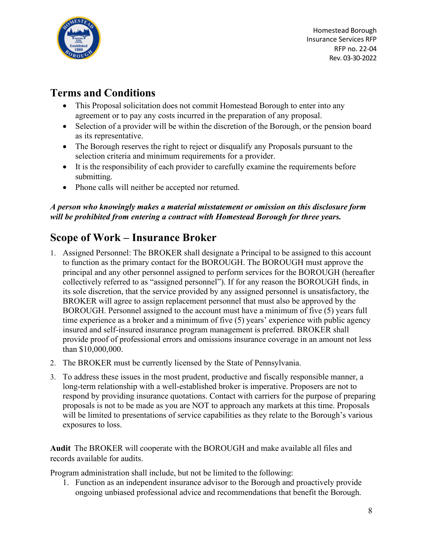

### <span id="page-7-0"></span>**Terms and Conditions**

- This Proposal solicitation does not commit Homestead Borough to enter into any agreement or to pay any costs incurred in the preparation of any proposal.
- Selection of a provider will be within the discretion of the Borough, or the pension board as its representative.
- The Borough reserves the right to reject or disqualify any Proposals pursuant to the selection criteria and minimum requirements for a provider.
- It is the responsibility of each provider to carefully examine the requirements before submitting.
- Phone calls will neither be accepted nor returned.

#### *A person who knowingly makes a material misstatement or omission on this disclosure form will be prohibited from entering a contract with Homestead Borough for three years.*

# <span id="page-7-1"></span>**Scope of Work – Insurance Broker**

- 1. Assigned Personnel: The BROKER shall designate a Principal to be assigned to this account to function as the primary contact for the BOROUGH. The BOROUGH must approve the principal and any other personnel assigned to perform services for the BOROUGH (hereafter collectively referred to as "assigned personnel"). If for any reason the BOROUGH finds, in its sole discretion, that the service provided by any assigned personnel is unsatisfactory, the BROKER will agree to assign replacement personnel that must also be approved by the BOROUGH. Personnel assigned to the account must have a minimum of five (5) years full time experience as a broker and a minimum of five (5) years' experience with public agency insured and self-insured insurance program management is preferred. BROKER shall provide proof of professional errors and omissions insurance coverage in an amount not less than \$10,000,000.
- 2. The BROKER must be currently licensed by the State of Pennsylvania.
- 3. To address these issues in the most prudent, productive and fiscally responsible manner, a long-term relationship with a well-established broker is imperative. Proposers are not to respond by providing insurance quotations. Contact with carriers for the purpose of preparing proposals is not to be made as you are NOT to approach any markets at this time. Proposals will be limited to presentations of service capabilities as they relate to the Borough's various exposures to loss.

**Audit** The BROKER will cooperate with the BOROUGH and make available all files and records available for audits.

Program administration shall include, but not be limited to the following:

1. Function as an independent insurance advisor to the Borough and proactively provide ongoing unbiased professional advice and recommendations that benefit the Borough.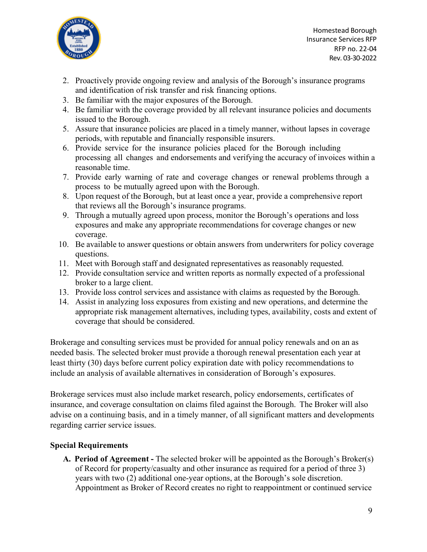

- 2. Proactively provide ongoing review and analysis of the Borough's insurance programs and identification of risk transfer and risk financing options.
- 3. Be familiar with the major exposures of the Borough.
- 4. Be familiar with the coverage provided by all relevant insurance policies and documents issued to the Borough.
- 5. Assure that insurance policies are placed in a timely manner, without lapses in coverage periods, with reputable and financially responsible insurers.
- 6. Provide service for the insurance policies placed for the Borough including processing all changes and endorsements and verifying the accuracy of invoices within a reasonable time.
- 7. Provide early warning of rate and coverage changes or renewal problems through a process to be mutually agreed upon with the Borough.
- 8. Upon request of the Borough, but at least once a year, provide a comprehensive report that reviews all the Borough's insurance programs.
- 9. Through a mutually agreed upon process, monitor the Borough's operations and loss exposures and make any appropriate recommendations for coverage changes or new coverage.
- 10. Be available to answer questions or obtain answers from underwriters for policy coverage questions.
- 11. Meet with Borough staff and designated representatives as reasonably requested.
- 12. Provide consultation service and written reports as normally expected of a professional broker to a large client.
- 13. Provide loss control services and assistance with claims as requested by the Borough.
- 14. Assist in analyzing loss exposures from existing and new operations, and determine the appropriate risk management alternatives, including types, availability, costs and extent of coverage that should be considered.

Brokerage and consulting services must be provided for annual policy renewals and on an as needed basis. The selected broker must provide a thorough renewal presentation each year at least thirty (30) days before current policy expiration date with policy recommendations to include an analysis of available alternatives in consideration of Borough's exposures.

Brokerage services must also include market research, policy endorsements, certificates of insurance, and coverage consultation on claims filed against the Borough. The Broker will also advise on a continuing basis, and in a timely manner, of all significant matters and developments regarding carrier service issues.

#### **Special Requirements**

**A. Period of Agreement -** The selected broker will be appointed as the Borough's Broker(s) of Record for property/casualty and other insurance as required for a period of three 3) years with two (2) additional one-year options, at the Borough's sole discretion. Appointment as Broker of Record creates no right to reappointment or continued service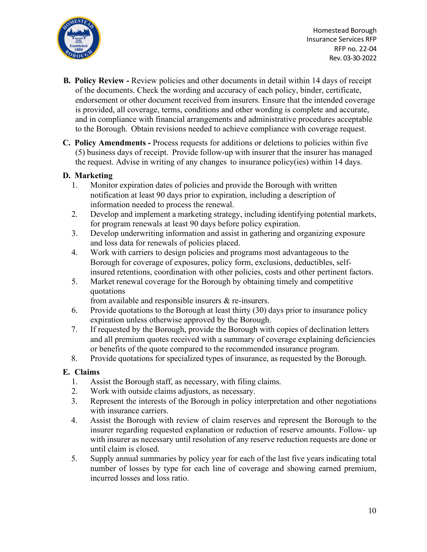

- **B. Policy Review -** Review policies and other documents in detail within 14 days of receipt of the documents. Check the wording and accuracy of each policy, binder, certificate, endorsement or other document received from insurers. Ensure that the intended coverage is provided, all coverage, terms, conditions and other wording is complete and accurate, and in compliance with financial arrangements and administrative procedures acceptable to the Borough. Obtain revisions needed to achieve compliance with coverage request.
- **C. Policy Amendments -** Process requests for additions or deletions to policies within five (5) business days of receipt. Provide follow-up with insurer that the insurer has managed the request. Advise in writing of any changes to insurance policy(ies) within 14 days.

#### **D. Marketing**

- 1. Monitor expiration dates of policies and provide the Borough with written notification at least 90 days prior to expiration, including a description of information needed to process the renewal.
- 2. Develop and implement a marketing strategy, including identifying potential markets, for program renewals at least 90 days before policy expiration.
- 3. Develop underwriting information and assist in gathering and organizing exposure and loss data for renewals of policies placed.
- 4. Work with carriers to design policies and programs most advantageous to the Borough for coverage of exposures, policy form, exclusions, deductibles, selfinsured retentions, coordination with other policies, costs and other pertinent factors.
- 5. Market renewal coverage for the Borough by obtaining timely and competitive quotations

from available and responsible insurers & re-insurers.

- 6. Provide quotations to the Borough at least thirty (30) days prior to insurance policy expiration unless otherwise approved by the Borough.
- 7. If requested by the Borough, provide the Borough with copies of declination letters and all premium quotes received with a summary of coverage explaining deficiencies or benefits of the quote compared to the recommended insurance program.
- 8. Provide quotations for specialized types of insurance, as requested by the Borough.

#### **E. Claims**

- 1. Assist the Borough staff, as necessary, with filing claims.
- 2. Work with outside claims adjustors, as necessary.
- 3. Represent the interests of the Borough in policy interpretation and other negotiations with insurance carriers.
- 4. Assist the Borough with review of claim reserves and represent the Borough to the insurer regarding requested explanation or reduction of reserve amounts. Follow- up with insurer as necessary until resolution of any reserve reduction requests are done or until claim is closed.
- 5. Supply annual summaries by policy year for each of the last five years indicating total number of losses by type for each line of coverage and showing earned premium, incurred losses and loss ratio.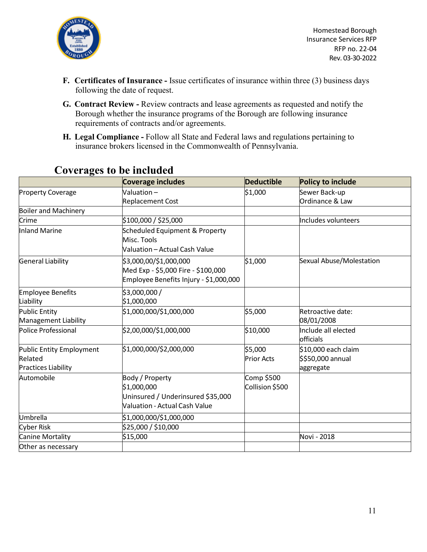

- **F. Certificates of Insurance -** Issue certificates of insurance within three (3) business days following the date of request.
- **G. Contract Review -** Review contracts and lease agreements as requested and notify the Borough whether the insurance programs of the Borough are following insurance requirements of contracts and/or agreements.
- **H. Legal Compliance -** Follow all State and Federal laws and regulations pertaining to insurance brokers licensed in the Commonwealth of Pennsylvania.

|                             | Coverage includes                      | <b>Deductible</b> | Policy to include        |
|-----------------------------|----------------------------------------|-------------------|--------------------------|
| <b>Property Coverage</b>    | Valuation-                             | \$1,000           | Sewer Back-up            |
|                             | <b>Replacement Cost</b>                |                   | Ordinance & Law          |
| <b>Boiler and Machinery</b> |                                        |                   |                          |
| Crime                       | \$100,000 / \$25,000                   |                   | Includes volunteers      |
| <b>Inland Marine</b>        | Scheduled Equipment & Property         |                   |                          |
|                             | Misc. Tools                            |                   |                          |
|                             | Valuation - Actual Cash Value          |                   |                          |
| General Liability           | \$3,000,00/\$1,000,000                 | \$1,000           | Sexual Abuse/Molestation |
|                             | Med Exp - \$5,000 Fire - \$100,000     |                   |                          |
|                             | Employee Benefits Injury - \$1,000,000 |                   |                          |
| Employee Benefits           | \$3,000,000 /                          |                   |                          |
| Liability                   | \$1,000,000                            |                   |                          |
| <b>Public Entity</b>        | \$1,000,000/\$1,000,000                | \$5,000           | Retroactive date:        |
| Management Liability        |                                        |                   | 08/01/2008               |
| Police Professional         | \$2,00,000/\$1,000,000                 | \$10,000          | Include all elected      |
|                             |                                        |                   | officials                |
| Public Entity Employment    | \$1,000,000/\$2,000,000                | \$5,000           | \$10,000 each claim      |
| Related                     |                                        | <b>Prior Acts</b> | \$\$50,000 annual        |
| <b>Practices Liability</b>  |                                        |                   | aggregate                |
| Automobile                  | Body / Property                        | Comp \$500        |                          |
|                             | \$1,000,000                            | Collision \$500   |                          |
|                             | Uninsured / Underinsured \$35,000      |                   |                          |
|                             | Valuation - Actual Cash Value          |                   |                          |
| Umbrella                    | \$1,000,000/\$1,000,000                |                   |                          |
| Cyber Risk                  | \$25,000 / \$10,000                    |                   |                          |
| Canine Mortality            | \$15,000                               |                   | Novi - 2018              |
| Other as necessary          |                                        |                   |                          |

#### <span id="page-10-0"></span>**Coverages to be included**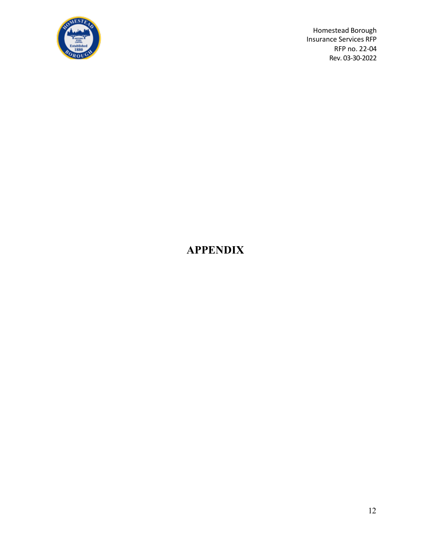

# <span id="page-11-0"></span>**APPENDIX**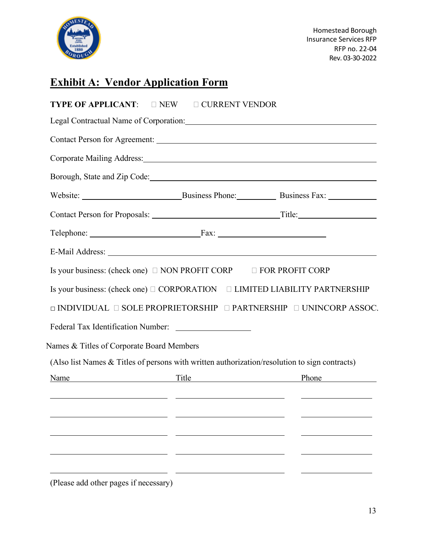

# <span id="page-12-0"></span>**Exhibit A: Vendor Application Form**

| <b>TYPE OF APPLICANT:</b>                                                                     | $\square$ NEW<br>□ CURRENT VENDOR |                                                                                                                        |
|-----------------------------------------------------------------------------------------------|-----------------------------------|------------------------------------------------------------------------------------------------------------------------|
|                                                                                               |                                   |                                                                                                                        |
|                                                                                               |                                   |                                                                                                                        |
|                                                                                               |                                   |                                                                                                                        |
|                                                                                               |                                   |                                                                                                                        |
|                                                                                               |                                   |                                                                                                                        |
|                                                                                               |                                   |                                                                                                                        |
|                                                                                               |                                   |                                                                                                                        |
|                                                                                               |                                   |                                                                                                                        |
| Is your business: (check one) $\Box$ NON PROFIT CORP $\Box$ FOR PROFIT CORP                   |                                   |                                                                                                                        |
|                                                                                               |                                   | Is your business: (check one) □ CORPORATION □ LIMITED LIABILITY PARTNERSHIP                                            |
|                                                                                               |                                   | $\Box$ INDIVIDUAL $\Box$ SOLE PROPRIETORSHIP $\Box$ PARTNERSHIP $\Box$ UNINCORP ASSOC.                                 |
|                                                                                               |                                   |                                                                                                                        |
| Names & Titles of Corporate Board Members                                                     |                                   |                                                                                                                        |
| (Also list Names & Titles of persons with written authorization/resolution to sign contracts) |                                   |                                                                                                                        |
| <u>Title</u><br>Name                                                                          |                                   | Phone                                                                                                                  |
|                                                                                               |                                   | <u> 1990 - Jacques Alexandro II, presidente al III-lea de la facta de la facta de la facta de la facta de la facta</u> |
|                                                                                               |                                   |                                                                                                                        |
|                                                                                               |                                   |                                                                                                                        |
|                                                                                               |                                   |                                                                                                                        |
|                                                                                               |                                   |                                                                                                                        |
|                                                                                               |                                   |                                                                                                                        |

(Please add other pages if necessary)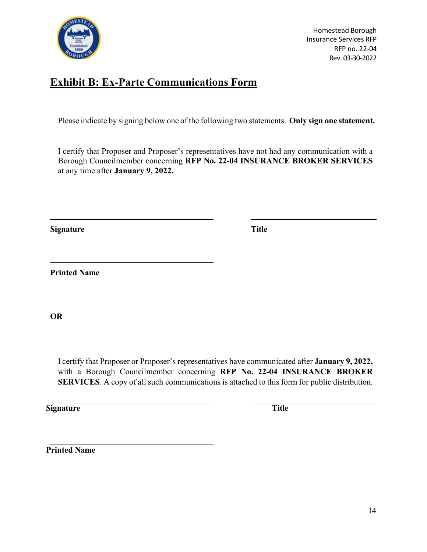

# <span id="page-13-0"></span>**Exhibit B: Ex-Parte Communications Form**

Please indicate by signing below one of the following two statements. **Only sign one statement.**

I certify that Proposer and Proposer's representatives have not had any communication with a Borough Councilmember concerning **RFP No. 22-04 INSURANCE BROKER SERVICES**  at any time after **January 9, 2022.**

**Signature Title**

**Printed Name**

**OR**

I certify that Proposer or Proposer's representatives have communicated after **January 9, 2022,**  with a Borough Councilmember concerning **RFP No. 22-04 INSURANCE BROKER SERVICES**. A copy of all such communications is attached to this form for public distribution.

**Signature Title** 

**Printed Name**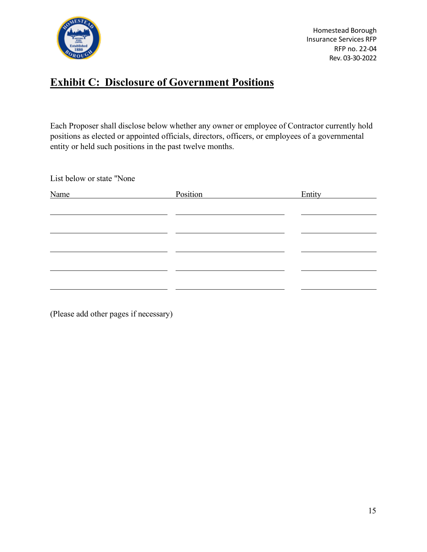

# <span id="page-14-0"></span>**Exhibit C: Disclosure of Government Positions**

Each Proposer shall disclose below whether any owner or employee of Contractor currently hold positions as elected or appointed officials, directors, officers, or employees of a governmental entity or held such positions in the past twelve months.

List below or state "None

| Name | Position | Entity |
|------|----------|--------|
|      |          |        |
|      |          |        |
|      |          |        |
|      |          |        |
|      |          |        |
|      |          |        |
|      |          |        |
|      |          |        |

(Please add other pages if necessary)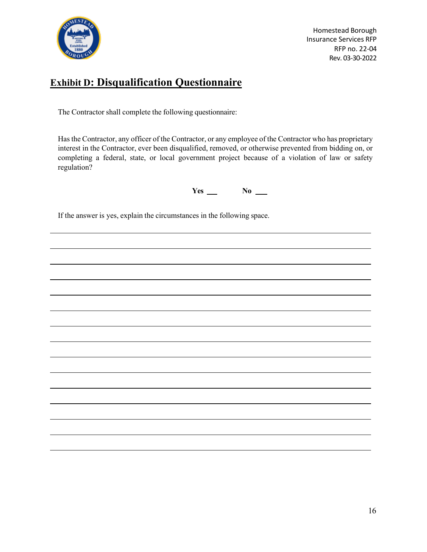

# <span id="page-15-0"></span>**Exhibit D: Disqualification Questionnaire**

The Contractor shall complete the following questionnaire:

Has the Contractor, any officer of the Contractor, or any employee of the Contractor who has proprietary interest in the Contractor, ever been disqualified, removed, or otherwise prevented from bidding on, or completing a federal, state, or local government project because of a violation of law or safety regulation?

**Yes No** 

If the answer is yes, explain the circumstances in the following space.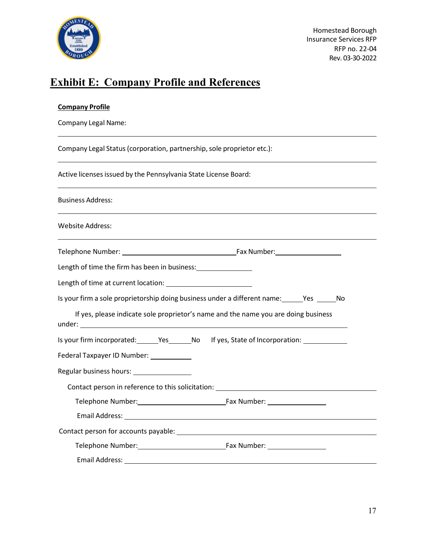

### <span id="page-16-0"></span>**Exhibit E: Company Profile and References**

| <b>Company Profile</b> |
|------------------------|
|------------------------|

Company Legal Name:

Company Legal Status (corporation, partnership, sole proprietor etc.):

Active licenses issued by the Pennsylvania State License Board:

Business Address:

Website Address:

| Telephone Number: | Fax Number: |
|-------------------|-------------|
|                   |             |

| Length of time the firm has been in business: |  |
|-----------------------------------------------|--|
|                                               |  |

Length of time at current location:

|  |  | Is your firm a sole proprietorship doing business under a different name: | Yes | No. |
|--|--|---------------------------------------------------------------------------|-----|-----|
|--|--|---------------------------------------------------------------------------|-----|-----|

|        | If yes, please indicate sole proprietor's name and the name you are doing business |
|--------|------------------------------------------------------------------------------------|
| under: |                                                                                    |

Is your firm incorporated: \_\_\_\_\_\_Yes \_\_\_\_\_\_No If yes, State of Incorporation: \_\_\_\_\_\_\_\_\_\_\_\_\_\_

Federal Taxpayer ID Number: \_\_\_\_\_\_\_\_\_\_\_

Regular business hours:

| Contact person in reference to this solicitation: |  |
|---------------------------------------------------|--|
|                                                   |  |

| Telephone Number: | Fax Number: |  |
|-------------------|-------------|--|
|-------------------|-------------|--|

Email Address: Contact person for accounts payable:

| Telephone Number: | Fax Number: |
|-------------------|-------------|

Email Address: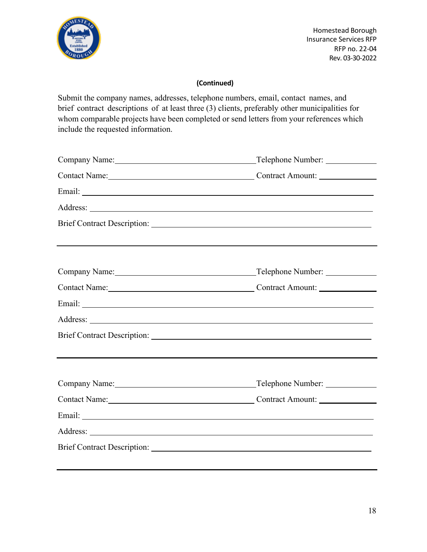

#### **(Continued)**

Submit the company names, addresses, telephone numbers, email, contact names, and brief contract descriptions of at least three (3) clients, preferably other municipalities for whom comparable projects have been completed or send letters from your references which include the requested information.

| Company Name: Company Name: Company Name: Company Name: Company Name: Company Name: Company Name: Company Name |
|----------------------------------------------------------------------------------------------------------------|
| Contact Name: Contract Amount:                                                                                 |
|                                                                                                                |
|                                                                                                                |
| Brief Contract Description: Later and Contract Description:                                                    |
|                                                                                                                |
|                                                                                                                |
| Contact Name: Contract Amount:                                                                                 |
|                                                                                                                |
|                                                                                                                |
| Brief Contract Description: Lawrence and Contract Description:                                                 |
|                                                                                                                |
| Telephone Number:                                                                                              |
| Contact Name: Contract Amount:                                                                                 |
|                                                                                                                |
|                                                                                                                |
|                                                                                                                |